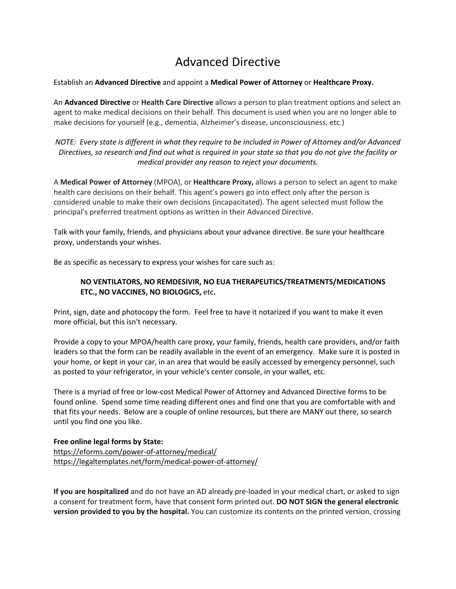## Advanced Directive

## Establish an **Advanced Directive** and appoint a **Medical Power of Attorney** or **Healthcare Proxy.**

An **Advanced Directive** or **Health Care Directive** allows a person to plan treatment options and select an agent to make medical decisions on their behalf. This document is used when you are no longer able to make decisions for yourself (e.g., dementia, Alzheimer's disease, unconsciousness, etc.)

*NOTE: Every state is different in what they require to be included in Power of Attorney and/or Advanced* Directives, so research and find out what is required in your state so that you do not give the facility or *medical provider any reason to reject your documents.*

A **Medical Power of Attorney** (MPOA), or **Healthcare Proxy,** allows a person to select an agent to make health care decisions on their behalf. This agent's powers go into effect only after the person is considered unable to make their own decisions (incapacitated). The agent selected must follow the principal's preferred treatment options as written in their Advanced Directive.

Talk with your family, friends, and physicians about your advance directive. Be sure your healthcare proxy, understands your wishes.

Be as specific as necessary to express your wishes for care such as:

## **NO VENTILATORS, NO REMDESIVIR, NO EUA THERAPEUTICS/TREATMENTS/MEDICATIONS ETC., NO VACCINES, NO BIOLOGICS,** etc**.**

Print, sign, date and photocopy the form. Feel free to have it notarized if you want to make it even more official, but this isn't necessary.

Provide a copy to your MPOA/health care proxy, your family, friends, health care providers, and/or faith leaders so that the form can be readily available in the event of an emergency. Make sure it is posted in your home, or kept in your car, in an area that would be easily accessed by emergency personnel, such as posted to your refrigerator, in your vehicle's center console, in your wallet, etc.

There is a myriad of free or low-cost Medical Power of Attorney and Advanced Directive forms to be found online. Spend some time reading different ones and find one that you are comfortable with and that fits your needs. Below are a couple of online resources, but there are MANY out there, so search until you find one you like.

## **Free online legal forms by State:**

<https://eforms.com/power-of-attorney/medical/> <https://legaltemplates.net/form/medical-power-of-attorney/>

**If you are hospitalized** and do not have an AD already pre-loaded in your medical chart, or asked to sign a consent for treatment form, have that consent form printed out. **DO NOT SIGN the general electronic version provided to you by the hospital.** You can customize its contents on the printed version, crossing